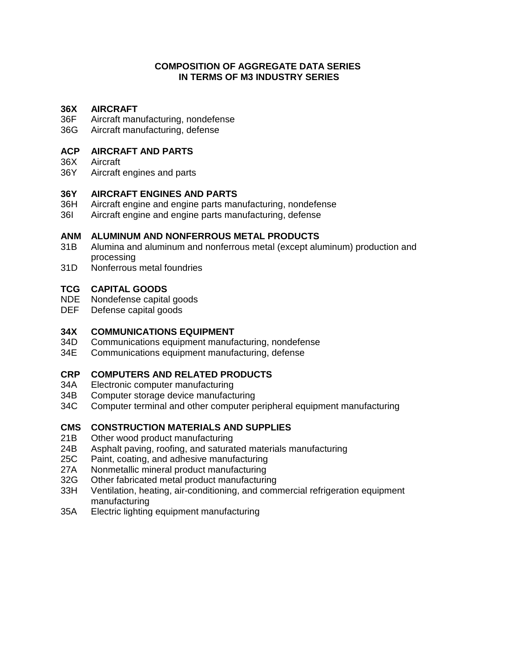#### **COMPOSITION OF AGGREGATE DATA SERIES IN TERMS OF M3 INDUSTRY SERIES**

# **36X AIRCRAFT**

- Aircraft manufacturing, nondefense
- 36G Aircraft manufacturing, defense

#### **ACP AIRCRAFT AND PARTS**

- 36X Aircraft<br>36Y Aircraft
- Aircraft engines and parts

#### **36Y AIRCRAFT ENGINES AND PARTS**

- 36H Aircraft engine and engine parts manufacturing, nondefense<br>36I Aircraft engine and engine parts manufacturing, defense
- Aircraft engine and engine parts manufacturing, defense

# **ANM ALUMINUM AND NONFERROUS METAL PRODUCTS**

- Alumina and aluminum and nonferrous metal (except aluminum) production and processing
- 31D Nonferrous metal foundries

#### **TCG CAPITAL GOODS**

- NDE Nondefense capital goods
- DEF Defense capital goods

# **34X COMMUNICATIONS EQUIPMENT**

- Communications equipment manufacturing, nondefense
- 34E Communications equipment manufacturing, defense

#### **CRP COMPUTERS AND RELATED PRODUCTS**

- 34A Electronic computer manufacturing<br>34B Computer storage device manufact
- Computer storage device manufacturing
- 34C Computer terminal and other computer peripheral equipment manufacturing

#### **CMS CONSTRUCTION MATERIALS AND SUPPLIES**

- 21B Other wood product manufacturing
- 24B Asphalt paving, roofing, and saturated materials manufacturing
- 25C Paint, coating, and adhesive manufacturing
- 27A Nonmetallic mineral product manufacturing
- 32G Other fabricated metal product manufacturing
- 33H Ventilation, heating, air-conditioning, and commercial refrigeration equipment manufacturing
- 35A Electric lighting equipment manufacturing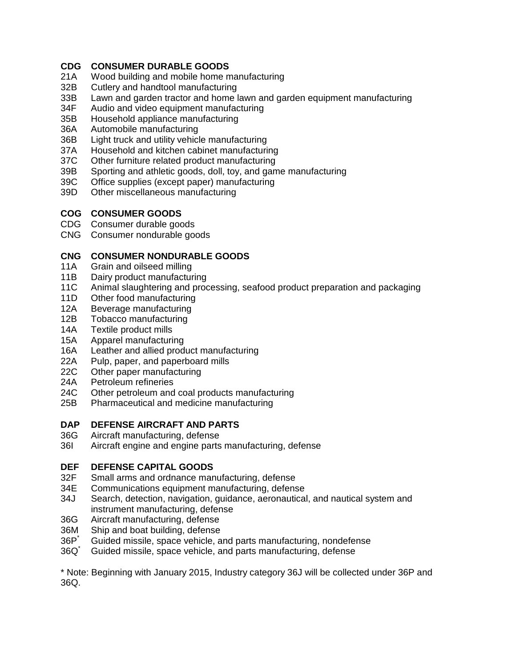### **CDG CONSUMER DURABLE GOODS**

- 21A Wood building and mobile home manufacturing
- 32B Cutlery and handtool manufacturing<br>33B Lawn and garden tractor and home I
- 33B Lawn and garden tractor and home lawn and garden equipment manufacturing<br>34F Audio and video equipment manufacturing
- Audio and video equipment manufacturing
- 35B Household appliance manufacturing
- 36A Automobile manufacturing<br>36B Light truck and utility vehicl
- Light truck and utility vehicle manufacturing
- 37A Household and kitchen cabinet manufacturing
- 37C Other furniture related product manufacturing<br>39B Sporting and athletic goods, doll, toy, and gan
- Sporting and athletic goods, doll, toy, and game manufacturing
- 39C Office supplies (except paper) manufacturing
- 39D Other miscellaneous manufacturing

## **COG CONSUMER GOODS**

- CDG Consumer durable goods
- CNG Consumer nondurable goods

# **CNG CONSUMER NONDURABLE GOODS**

- Grain and oilseed milling
- 11B Dairy product manufacturing<br>11C Animal slaughtering and proc
- Animal slaughtering and processing, seafood product preparation and packaging
- 11D Other food manufacturing
- 12A Beverage manufacturing<br>12B Tobacco manufacturing
- Tobacco manufacturing
- 14A Textile product mills
- 15A Apparel manufacturing<br>16A Leather and allied prod
- Leather and allied product manufacturing
- 22A Pulp, paper, and paperboard mills
- 22C Other paper manufacturing<br>24A Petroleum refineries
- Petroleum refineries
- 24C Other petroleum and coal products manufacturing<br>25B Pharmaceutical and medicine manufacturing
- Pharmaceutical and medicine manufacturing

# **DAP DEFENSE AIRCRAFT AND PARTS**

- Aircraft manufacturing, defense
- 36I Aircraft engine and engine parts manufacturing, defense

# **DEF DEFENSE CAPITAL GOODS**<br>32F Small arms and ordnance mar

- Small arms and ordnance manufacturing, defense
- 34E Communications equipment manufacturing, defense
- 34J Search, detection, navigation, guidance, aeronautical, and nautical system and instrument manufacturing, defense
- 36G Aircraft manufacturing, defense
- 36M Ship and boat building, defense
- 36P<sup>\*</sup> Guided missile, space vehicle, and parts manufacturing, nondefense<br>36Q<sup>\*</sup> Guided missile, space vehicle, and parts manufacturing, defense
- Guided missile, space vehicle, and parts manufacturing, defense

\* Note: Beginning with January 2015, Industry category 36J will be collected under 36P and 36Q.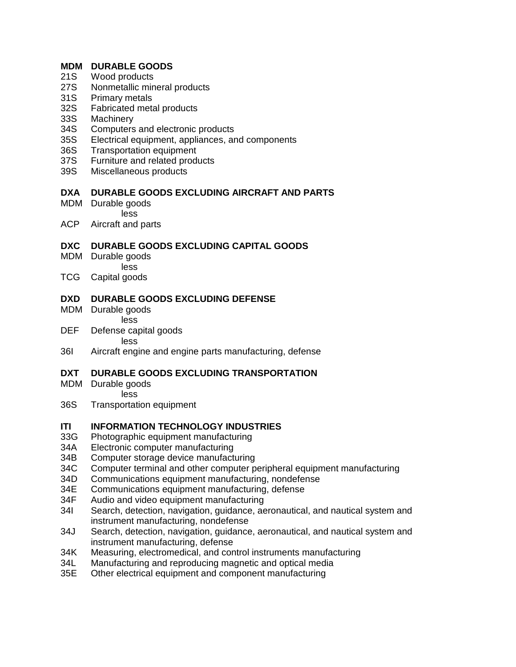#### **MDM DURABLE GOODS**

- 21S Wood products
- 27S Nonmetallic mineral products<br>31S Primary metals
- 31S Primary metals<br>32S Fabricated meta
- 32S Fabricated metal products<br>33S Machinerv
- **Machinery**
- 34S Computers and electronic products<br>35S Electrical equipment, appliances, are
- Electrical equipment, appliances, and components
- 36S Transportation equipment
- 37S Furniture and related products<br>39S Miscellaneous products
- Miscellaneous products

### **DXA DURABLE GOODS EXCLUDING AIRCRAFT AND PARTS**

- MDM Durable goods less
- ACP Aircraft and parts

### **DXC DURABLE GOODS EXCLUDING CAPITAL GOODS**

- MDM Durable goods less
- TCG Capital goods

### **DXD DURABLE GOODS EXCLUDING DEFENSE**

- MDM Durable goods less
- DEF Defense capital goods less
- 36I Aircraft engine and engine parts manufacturing, defense

### **DXT DURABLE GOODS EXCLUDING TRANSPORTATION**

- MDM Durable goods less
- 36S Transportation equipment

# **ITI INFORMATION TECHNOLOGY INDUSTRIES**<br>33G Photographic equipment manufacturing

- Photographic equipment manufacturing
- 34A Electronic computer manufacturing
- 34B Computer storage device manufacturing
- 34C Computer terminal and other computer peripheral equipment manufacturing<br>34D Communications equipment manufacturing, nondefense
- 34D Communications equipment manufacturing, nondefense<br>34E Communications equipment manufacturing, defense
- Communications equipment manufacturing, defense
- 34F Audio and video equipment manufacturing<br>34I Search, detection, navigation, quidance, ae
- Search, detection, navigation, guidance, aeronautical, and nautical system and instrument manufacturing, nondefense
- 34J Search, detection, navigation, guidance, aeronautical, and nautical system and instrument manufacturing, defense
- 34K Measuring, electromedical, and control instruments manufacturing
- 34L Manufacturing and reproducing magnetic and optical media
- 35E Other electrical equipment and component manufacturing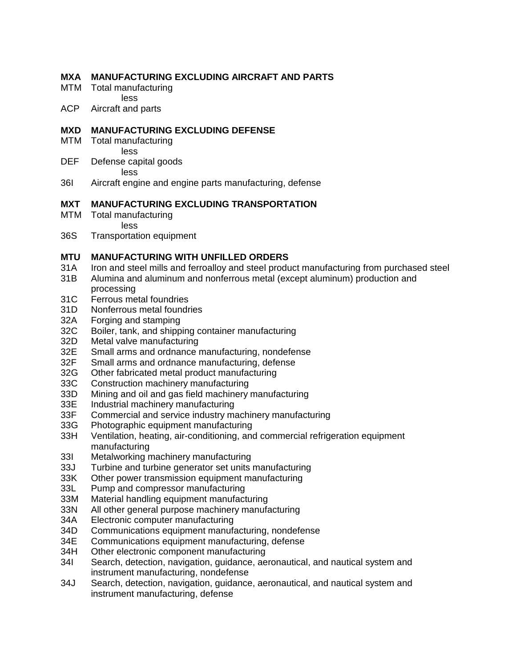#### **MXA MANUFACTURING EXCLUDING AIRCRAFT AND PARTS**

- MTM Total manufacturing less
- ACP Aircraft and parts

### **MXD MANUFACTURING EXCLUDING DEFENSE**

- MTM Total manufacturing less
- DEF Defense capital goods less
- 36I Aircraft engine and engine parts manufacturing, defense

### **MXT MANUFACTURING EXCLUDING TRANSPORTATION**

- MTM Total manufacturing less
- 36S Transportation equipment

### **MTU MANUFACTURING WITH UNFILLED ORDERS**

- 31A Iron and steel mills and ferroalloy and steel product manufacturing from purchased steel
- 31B Alumina and aluminum and nonferrous metal (except aluminum) production and processing
- 31C Ferrous metal foundries
- 31D Nonferrous metal foundries
- 32A Forging and stamping
- 32C Boiler, tank, and shipping container manufacturing<br>32D Metal valve manufacturing
- 32D Metal valve manufacturing<br>32E Small arms and ordnance r
- Small arms and ordnance manufacturing, nondefense
- 32F Small arms and ordnance manufacturing, defense<br>32G Other fabricated metal product manufacturing
- Other fabricated metal product manufacturing
- 33C Construction machinery manufacturing
- 33D Mining and oil and gas field machinery manufacturing<br>33E Industrial machinery manufacturing
- Industrial machinery manufacturing
- 33F Commercial and service industry machinery manufacturing
- 33G Photographic equipment manufacturing<br>33H Ventilation, heating, air-conditioning, and
- Ventilation, heating, air-conditioning, and commercial refrigeration equipment manufacturing
- 33I Metalworking machinery manufacturing<br>33J Turbine and turbine generator set units
- Turbine and turbine generator set units manufacturing
- 33K Other power transmission equipment manufacturing<br>33L Pump and compressor manufacturing
- Pump and compressor manufacturing
- 33M Material handling equipment manufacturing
- 33N All other general purpose machinery manufacturing<br>34A Electronic computer manufacturing
- Electronic computer manufacturing
- 34D Communications equipment manufacturing, nondefense
- 34E Communications equipment manufacturing, defense<br>34H Other electronic component manufacturing
- Other electronic component manufacturing
- 34I Search, detection, navigation, guidance, aeronautical, and nautical system and instrument manufacturing, nondefense
- 34J Search, detection, navigation, guidance, aeronautical, and nautical system and instrument manufacturing, defense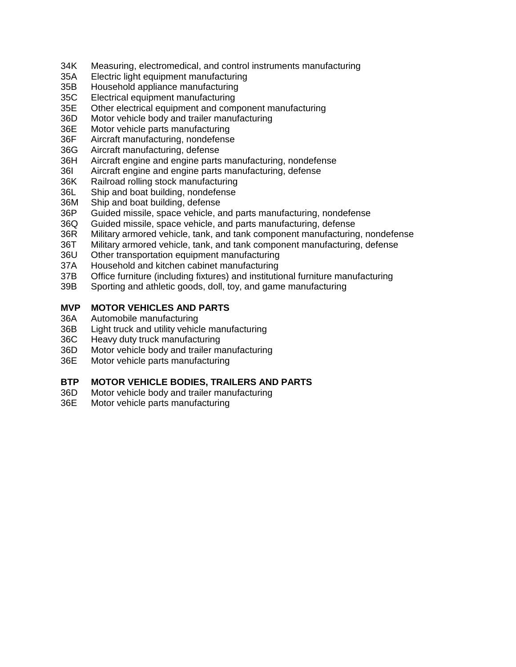- 34K Measuring, electromedical, and control instruments manufacturing
- 35A Electric light equipment manufacturing
- 35B Household appliance manufacturing<br>35C Electrical equipment manufacturing
- Electrical equipment manufacturing
- 35E Other electrical equipment and component manufacturing
- 36D Motor vehicle body and trailer manufacturing
- 36E Motor vehicle parts manufacturing
- 36F Aircraft manufacturing, nondefense
- 36G Aircraft manufacturing, defense
- 36H Aircraft engine and engine parts manufacturing, nondefense
- 36I Aircraft engine and engine parts manufacturing, defense
- 36K Railroad rolling stock manufacturing
- 36L Ship and boat building, nondefense
- 36M Ship and boat building, defense<br>36P Guided missile, space vehicle, a
- Guided missile, space vehicle, and parts manufacturing, nondefense
- 36Q Guided missile, space vehicle, and parts manufacturing, defense
- 36R Military armored vehicle, tank, and tank component manufacturing, nondefense
- 36T Military armored vehicle, tank, and tank component manufacturing, defense
- 36U Other transportation equipment manufacturing
- 37A Household and kitchen cabinet manufacturing
- 37B Office furniture (including fixtures) and institutional furniture manufacturing
- 39B Sporting and athletic goods, doll, toy, and game manufacturing

#### **MVP MOTOR VEHICLES AND PARTS**

- 36A Automobile manufacturing
- 36B Light truck and utility vehicle manufacturing
- 36C Heavy duty truck manufacturing
- 36D Motor vehicle body and trailer manufacturing
- 36E Motor vehicle parts manufacturing

#### **BTP MOTOR VEHICLE BODIES, TRAILERS AND PARTS**

- 36D Motor vehicle body and trailer manufacturing<br>36E Motor vehicle parts manufacturing
- Motor vehicle parts manufacturing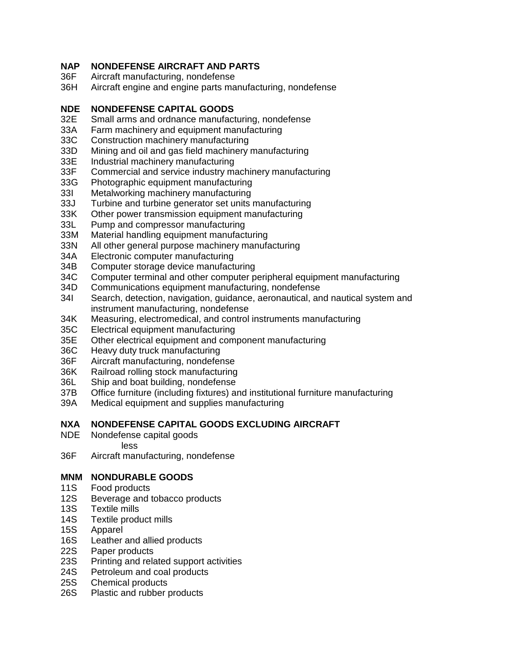### **NAP NONDEFENSE AIRCRAFT AND PARTS**

- 36F Aircraft manufacturing, nondefense
- 36H Aircraft engine and engine parts manufacturing, nondefense

# **NDE NONDEFENSE CAPITAL GOODS**

- Small arms and ordnance manufacturing, nondefense
- 33A Farm machinery and equipment manufacturing<br>33C Construction machinery manufacturing
- 33C Construction machinery manufacturing<br>33D Mining and oil and gas field machinery
- Mining and oil and gas field machinery manufacturing
- 33E Industrial machinery manufacturing<br>33F Commercial and service industry ma
- Commercial and service industry machinery manufacturing
- 33G Photographic equipment manufacturing
- 33I Metalworking machinery manufacturing<br>33J Turbine and turbine generator set units i
- Turbine and turbine generator set units manufacturing
- 33K Other power transmission equipment manufacturing
- 33L Pump and compressor manufacturing<br>33M Material handling equipment manufact
- Material handling equipment manufacturing
- 33N All other general purpose machinery manufacturing
- 34A Electronic computer manufacturing
- 34B Computer storage device manufacturing
- 34C Computer terminal and other computer peripheral equipment manufacturing<br>34D Communications equipment manufacturing, nondefense
- Communications equipment manufacturing, nondefense
- 34I Search, detection, navigation, guidance, aeronautical, and nautical system and instrument manufacturing, nondefense
- 34K Measuring, electromedical, and control instruments manufacturing
- 35C Electrical equipment manufacturing
- 35E Other electrical equipment and component manufacturing<br>36C Heavy duty truck manufacturing
- Heavy duty truck manufacturing
- 36F Aircraft manufacturing, nondefense
- 36K Railroad rolling stock manufacturing<br>36L Ship and boat building, nondefense
- Ship and boat building, nondefense
- 37B Office furniture (including fixtures) and institutional furniture manufacturing<br>39A Medical equipment and supplies manufacturing
- Medical equipment and supplies manufacturing

# **NXA NONDEFENSE CAPITAL GOODS EXCLUDING AIRCRAFT**

- Nondefense capital goods
	- less
- 36F Aircraft manufacturing, nondefense

#### **MNM NONDURABLE GOODS**

- 11S Food products
- 12S Beverage and tobacco products
- 13S Textile mills<br>14S Textile produ
- 14S Textile product mills<br>15S Apparel
- Apparel
- 16S Leather and allied products<br>22S Paper products
- Paper products
- 23S Printing and related support activities
- 24S Petroleum and coal products<br>25S Chemical products
- Chemical products
- 26S Plastic and rubber products